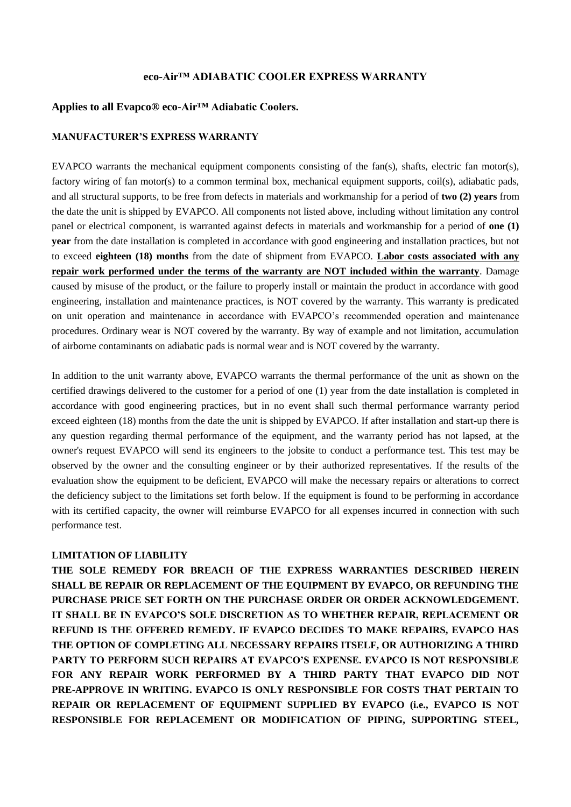# **eco-Air™ ADIABATIC COOLER EXPRESS WARRANTY**

## **Applies to all Evapco® eco-Air™ Adiabatic Coolers.**

## **MANUFACTURER'S EXPRESS WARRANTY**

EVAPCO warrants the mechanical equipment components consisting of the fan(s), shafts, electric fan motor(s), factory wiring of fan motor(s) to a common terminal box, mechanical equipment supports, coil(s), adiabatic pads, and all structural supports, to be free from defects in materials and workmanship for a period of **two (2) years** from the date the unit is shipped by EVAPCO. All components not listed above, including without limitation any control panel or electrical component, is warranted against defects in materials and workmanship for a period of **one (1) year** from the date installation is completed in accordance with good engineering and installation practices, but not to exceed **eighteen (18) months** from the date of shipment from EVAPCO. **Labor costs associated with any repair work performed under the terms of the warranty are NOT included within the warranty**. Damage caused by misuse of the product, or the failure to properly install or maintain the product in accordance with good engineering, installation and maintenance practices, is NOT covered by the warranty. This warranty is predicated on unit operation and maintenance in accordance with EVAPCO's recommended operation and maintenance procedures. Ordinary wear is NOT covered by the warranty. By way of example and not limitation, accumulation of airborne contaminants on adiabatic pads is normal wear and is NOT covered by the warranty.

In addition to the unit warranty above, EVAPCO warrants the thermal performance of the unit as shown on the certified drawings delivered to the customer for a period of one (1) year from the date installation is completed in accordance with good engineering practices, but in no event shall such thermal performance warranty period exceed eighteen (18) months from the date the unit is shipped by EVAPCO. If after installation and start-up there is any question regarding thermal performance of the equipment, and the warranty period has not lapsed, at the owner's request EVAPCO will send its engineers to the jobsite to conduct a performance test. This test may be observed by the owner and the consulting engineer or by their authorized representatives. If the results of the evaluation show the equipment to be deficient, EVAPCO will make the necessary repairs or alterations to correct the deficiency subject to the limitations set forth below. If the equipment is found to be performing in accordance with its certified capacity, the owner will reimburse EVAPCO for all expenses incurred in connection with such performance test.

## **LIMITATION OF LIABILITY**

**THE SOLE REMEDY FOR BREACH OF THE EXPRESS WARRANTIES DESCRIBED HEREIN SHALL BE REPAIR OR REPLACEMENT OF THE EQUIPMENT BY EVAPCO, OR REFUNDING THE PURCHASE PRICE SET FORTH ON THE PURCHASE ORDER OR ORDER ACKNOWLEDGEMENT. IT SHALL BE IN EVAPCO'S SOLE DISCRETION AS TO WHETHER REPAIR, REPLACEMENT OR REFUND IS THE OFFERED REMEDY. IF EVAPCO DECIDES TO MAKE REPAIRS, EVAPCO HAS THE OPTION OF COMPLETING ALL NECESSARY REPAIRS ITSELF, OR AUTHORIZING A THIRD PARTY TO PERFORM SUCH REPAIRS AT EVAPCO'S EXPENSE. EVAPCO IS NOT RESPONSIBLE FOR ANY REPAIR WORK PERFORMED BY A THIRD PARTY THAT EVAPCO DID NOT PRE-APPROVE IN WRITING. EVAPCO IS ONLY RESPONSIBLE FOR COSTS THAT PERTAIN TO REPAIR OR REPLACEMENT OF EQUIPMENT SUPPLIED BY EVAPCO (i.e., EVAPCO IS NOT RESPONSIBLE FOR REPLACEMENT OR MODIFICATION OF PIPING, SUPPORTING STEEL,**